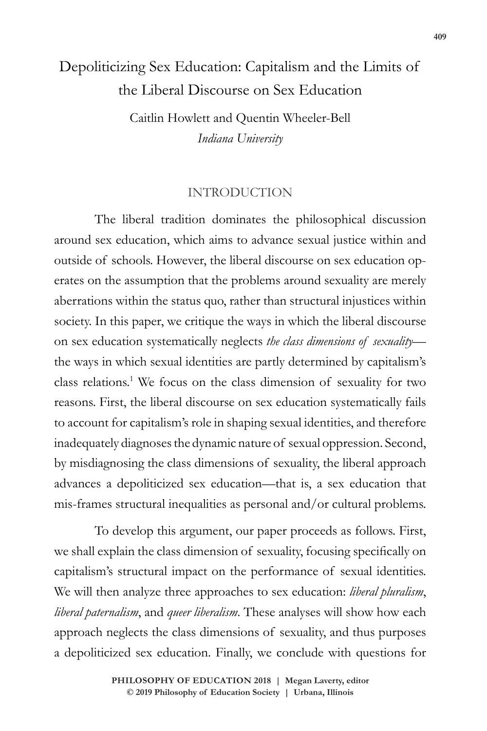# Depoliticizing Sex Education: Capitalism and the Limits of the Liberal Discourse on Sex Education

Caitlin Howlett and Quentin Wheeler-Bell *Indiana University*

# INTRODUCTION

The liberal tradition dominates the philosophical discussion around sex education, which aims to advance sexual justice within and outside of schools. However, the liberal discourse on sex education operates on the assumption that the problems around sexuality are merely aberrations within the status quo, rather than structural injustices within society. In this paper, we critique the ways in which the liberal discourse on sex education systematically neglects *the class dimensions of sexuality* the ways in which sexual identities are partly determined by capitalism's class relations.1 We focus on the class dimension of sexuality for two reasons. First, the liberal discourse on sex education systematically fails to account for capitalism's role in shaping sexual identities, and therefore inadequately diagnoses the dynamic nature of sexual oppression. Second, by misdiagnosing the class dimensions of sexuality, the liberal approach advances a depoliticized sex education—that is, a sex education that mis-frames structural inequalities as personal and/or cultural problems.

To develop this argument, our paper proceeds as follows. First, we shall explain the class dimension of sexuality, focusing specifically on capitalism's structural impact on the performance of sexual identities. We will then analyze three approaches to sex education: *liberal pluralism*, *liberal paternalism*, and *queer liberalism*. These analyses will show how each approach neglects the class dimensions of sexuality, and thus purposes a depoliticized sex education. Finally, we conclude with questions for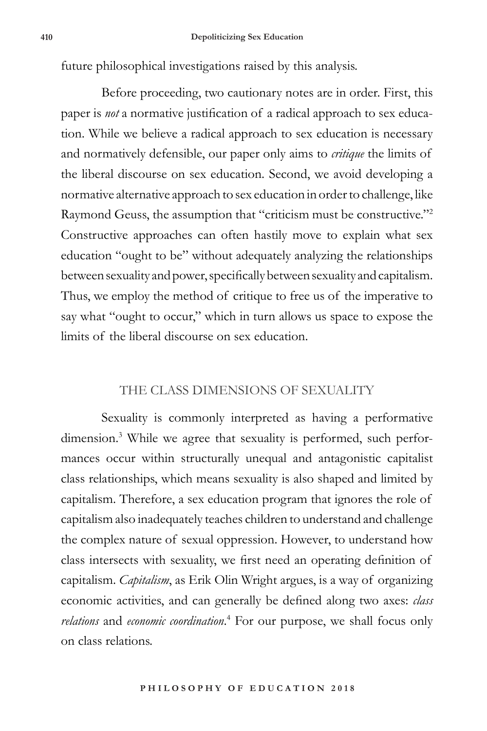future philosophical investigations raised by this analysis.

Before proceeding, two cautionary notes are in order. First, this paper is *not* a normative justification of a radical approach to sex education. While we believe a radical approach to sex education is necessary and normatively defensible, our paper only aims to *critique* the limits of the liberal discourse on sex education. Second, we avoid developing a normative alternative approach to sex education in order to challenge, like Raymond Geuss, the assumption that "criticism must be constructive."2 Constructive approaches can often hastily move to explain what sex education "ought to be" without adequately analyzing the relationships between sexuality and power, specifically between sexuality and capitalism. Thus, we employ the method of critique to free us of the imperative to say what "ought to occur," which in turn allows us space to expose the limits of the liberal discourse on sex education.

## THE CLASS DIMENSIONS OF SEXUALITY

Sexuality is commonly interpreted as having a performative dimension.<sup>3</sup> While we agree that sexuality is performed, such performances occur within structurally unequal and antagonistic capitalist class relationships, which means sexuality is also shaped and limited by capitalism. Therefore, a sex education program that ignores the role of capitalism also inadequately teaches children to understand and challenge the complex nature of sexual oppression. However, to understand how class intersects with sexuality, we first need an operating definition of capitalism. *Capitalism*, as Erik Olin Wright argues, is a way of organizing economic activities, and can generally be defined along two axes: *class relations* and *economic coordination*. 4 For our purpose, we shall focus only on class relations.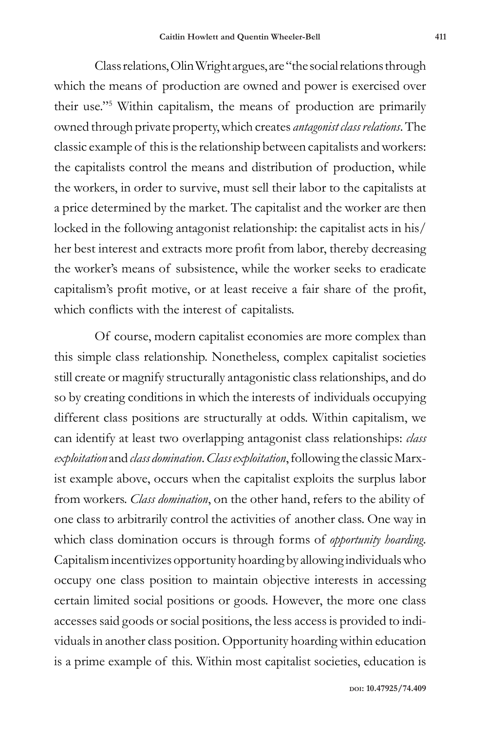Class relations, Olin Wright argues, are "the social relations through which the means of production are owned and power is exercised over their use."5 Within capitalism, the means of production are primarily owned through private property, which creates *antagonist class relations*. The classic example of this is the relationship between capitalists and workers: the capitalists control the means and distribution of production, while the workers, in order to survive, must sell their labor to the capitalists at a price determined by the market. The capitalist and the worker are then locked in the following antagonist relationship: the capitalist acts in his/ her best interest and extracts more profit from labor, thereby decreasing the worker's means of subsistence, while the worker seeks to eradicate capitalism's profit motive, or at least receive a fair share of the profit, which conflicts with the interest of capitalists.

Of course, modern capitalist economies are more complex than this simple class relationship. Nonetheless, complex capitalist societies still create or magnify structurally antagonistic class relationships, and do so by creating conditions in which the interests of individuals occupying different class positions are structurally at odds. Within capitalism, we can identify at least two overlapping antagonist class relationships: *class exploitation* and *class domination*. *Class exploitation*, following the classic Marxist example above, occurs when the capitalist exploits the surplus labor from workers. *Class domination*, on the other hand, refers to the ability of one class to arbitrarily control the activities of another class. One way in which class domination occurs is through forms of *opportunity hoarding*. Capitalism incentivizes opportunity hoarding by allowing individuals who occupy one class position to maintain objective interests in accessing certain limited social positions or goods. However, the more one class accesses said goods or social positions, the less access is provided to individuals in another class position. Opportunity hoarding within education is a prime example of this. Within most capitalist societies, education is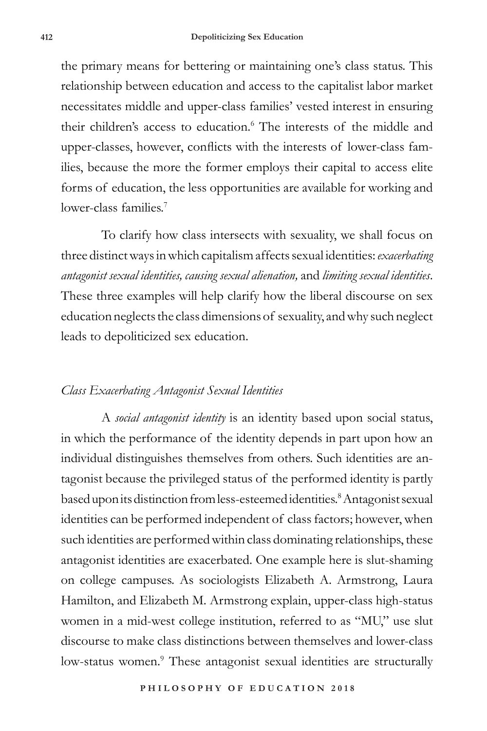the primary means for bettering or maintaining one's class status. This relationship between education and access to the capitalist labor market necessitates middle and upper-class families' vested interest in ensuring their children's access to education.<sup>6</sup> The interests of the middle and upper-classes, however, conflicts with the interests of lower-class families, because the more the former employs their capital to access elite forms of education, the less opportunities are available for working and lower-class families<sup>7</sup>

To clarify how class intersects with sexuality, we shall focus on three distinct ways in which capitalism affects sexual identities: *exacerbating antagonist sexual identities, causing sexual alienation,* and *limiting sexual identities*. These three examples will help clarify how the liberal discourse on sex education neglects the class dimensions of sexuality, and why such neglect leads to depoliticized sex education.

# *Class Exacerbating Antagonist Sexual Identities*

A *social antagonist identity* is an identity based upon social status, in which the performance of the identity depends in part upon how an individual distinguishes themselves from others. Such identities are antagonist because the privileged status of the performed identity is partly based upon its distinction from less-esteemed identities.<sup>8</sup> Antagonist sexual identities can be performed independent of class factors; however, when such identities are performed within class dominating relationships, these antagonist identities are exacerbated. One example here is slut-shaming on college campuses. As sociologists Elizabeth A. Armstrong, Laura Hamilton, and Elizabeth M. Armstrong explain, upper-class high-status women in a mid-west college institution, referred to as "MU," use slut discourse to make class distinctions between themselves and lower-class low-status women.<sup>9</sup> These antagonist sexual identities are structurally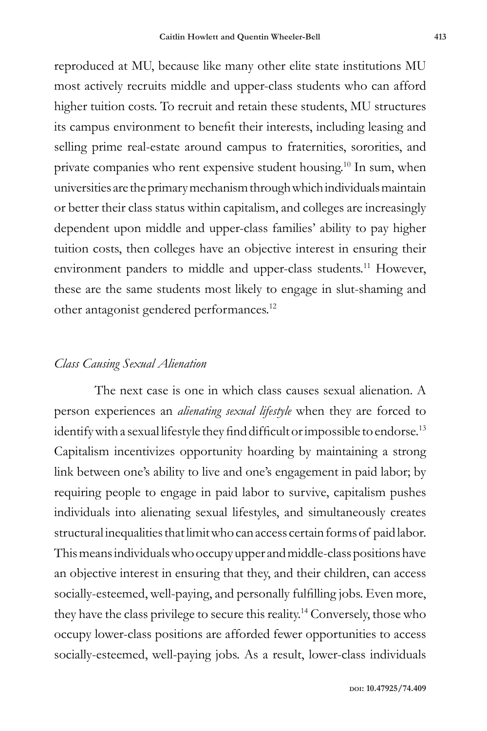reproduced at MU, because like many other elite state institutions MU most actively recruits middle and upper-class students who can afford higher tuition costs. To recruit and retain these students, MU structures its campus environment to benefit their interests, including leasing and selling prime real-estate around campus to fraternities, sororities, and private companies who rent expensive student housing.10 In sum, when universities are the primary mechanism through which individuals maintain or better their class status within capitalism, and colleges are increasingly dependent upon middle and upper-class families' ability to pay higher tuition costs, then colleges have an objective interest in ensuring their environment panders to middle and upper-class students.<sup>11</sup> However, these are the same students most likely to engage in slut-shaming and other antagonist gendered performances.12

# *Class Causing Sexual Alienation*

The next case is one in which class causes sexual alienation. A person experiences an *alienating sexual lifestyle* when they are forced to identify with a sexual lifestyle they find difficult or impossible to endorse.<sup>13</sup> Capitalism incentivizes opportunity hoarding by maintaining a strong link between one's ability to live and one's engagement in paid labor; by requiring people to engage in paid labor to survive, capitalism pushes individuals into alienating sexual lifestyles, and simultaneously creates structural inequalities that limit who can access certain forms of paid labor. This means individuals who occupy upper and middle-class positions have an objective interest in ensuring that they, and their children, can access socially-esteemed, well-paying, and personally fulfilling jobs. Even more, they have the class privilege to secure this reality.14 Conversely, those who occupy lower-class positions are afforded fewer opportunities to access socially-esteemed, well-paying jobs. As a result, lower-class individuals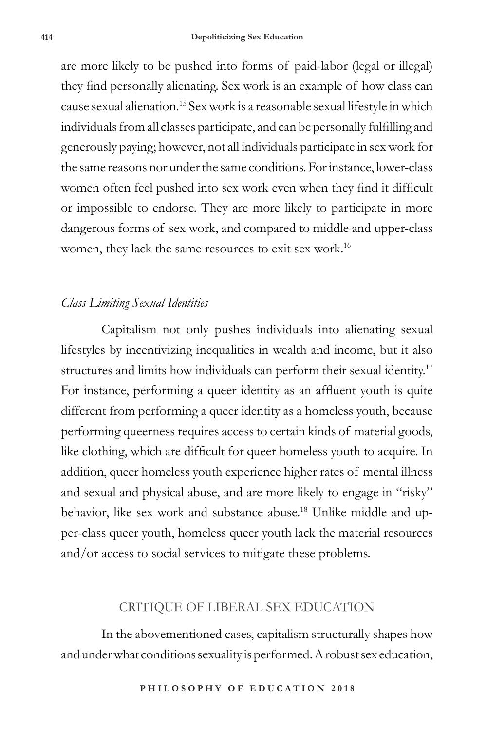are more likely to be pushed into forms of paid-labor (legal or illegal) they find personally alienating. Sex work is an example of how class can cause sexual alienation.15 Sex work is a reasonable sexual lifestyle in which individuals from all classes participate, and can be personally fulfilling and generously paying; however, not all individuals participate in sex work for the same reasons nor under the same conditions. For instance, lower-class women often feel pushed into sex work even when they find it difficult or impossible to endorse. They are more likely to participate in more dangerous forms of sex work, and compared to middle and upper-class women, they lack the same resources to exit sex work.16

## *Class Limiting Sexual Identities*

Capitalism not only pushes individuals into alienating sexual lifestyles by incentivizing inequalities in wealth and income, but it also structures and limits how individuals can perform their sexual identity.17 For instance, performing a queer identity as an affluent youth is quite different from performing a queer identity as a homeless youth, because performing queerness requires access to certain kinds of material goods, like clothing, which are difficult for queer homeless youth to acquire. In addition, queer homeless youth experience higher rates of mental illness and sexual and physical abuse, and are more likely to engage in "risky" behavior, like sex work and substance abuse.<sup>18</sup> Unlike middle and upper-class queer youth, homeless queer youth lack the material resources and/or access to social services to mitigate these problems.

# CRITIQUE OF LIBERAL SEX EDUCATION

In the abovementioned cases, capitalism structurally shapes how and under what conditions sexuality is performed. A robust sex education,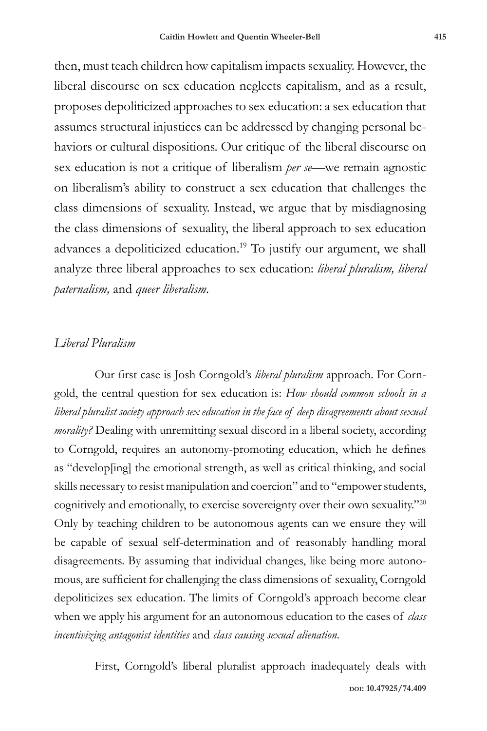then, must teach children how capitalism impacts sexuality. However, the liberal discourse on sex education neglects capitalism, and as a result, proposes depoliticized approaches to sex education: a sex education that assumes structural injustices can be addressed by changing personal behaviors or cultural dispositions. Our critique of the liberal discourse on sex education is not a critique of liberalism *per se*—we remain agnostic on liberalism's ability to construct a sex education that challenges the class dimensions of sexuality. Instead, we argue that by misdiagnosing the class dimensions of sexuality, the liberal approach to sex education advances a depoliticized education.19 To justify our argument, we shall analyze three liberal approaches to sex education: *liberal pluralism, liberal paternalism,* and *queer liberalism*.

# *Liberal Pluralism*

Our first case is Josh Corngold's *liberal pluralism* approach. For Corngold, the central question for sex education is: *How should common schools in a liberal pluralist society approach sex education in the face of deep disagreements about sexual morality?* Dealing with unremitting sexual discord in a liberal society, according to Corngold, requires an autonomy-promoting education, which he defines as "develop[ing] the emotional strength, as well as critical thinking, and social skills necessary to resist manipulation and coercion" and to "empower students, cognitively and emotionally, to exercise sovereignty over their own sexuality."20 Only by teaching children to be autonomous agents can we ensure they will be capable of sexual self-determination and of reasonably handling moral disagreements. By assuming that individual changes, like being more autonomous, are sufficient for challenging the class dimensions of sexuality, Corngold depoliticizes sex education. The limits of Corngold's approach become clear when we apply his argument for an autonomous education to the cases of *class incentivizing antagonist identities* and *class causing sexual alienation*.

First, Corngold's liberal pluralist approach inadequately deals with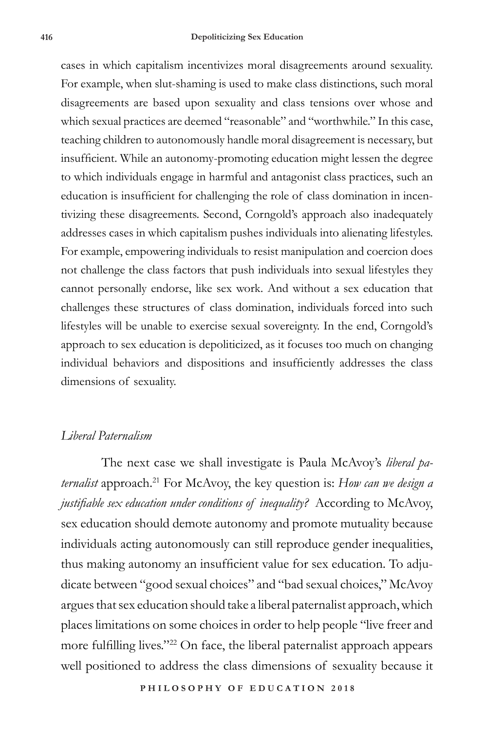cases in which capitalism incentivizes moral disagreements around sexuality. For example, when slut-shaming is used to make class distinctions, such moral disagreements are based upon sexuality and class tensions over whose and which sexual practices are deemed "reasonable" and "worthwhile." In this case, teaching children to autonomously handle moral disagreement is necessary, but insufficient. While an autonomy-promoting education might lessen the degree to which individuals engage in harmful and antagonist class practices, such an education is insufficient for challenging the role of class domination in incentivizing these disagreements. Second, Corngold's approach also inadequately addresses cases in which capitalism pushes individuals into alienating lifestyles. For example, empowering individuals to resist manipulation and coercion does not challenge the class factors that push individuals into sexual lifestyles they cannot personally endorse, like sex work. And without a sex education that challenges these structures of class domination, individuals forced into such lifestyles will be unable to exercise sexual sovereignty. In the end, Corngold's approach to sex education is depoliticized, as it focuses too much on changing individual behaviors and dispositions and insufficiently addresses the class dimensions of sexuality.

#### *Liberal Paternalism*

The next case we shall investigate is Paula McAvoy's *liberal paternalist* approach.21 For McAvoy, the key question is: *How can we design a justifiable sex education under conditions of inequality?* According to McAvoy, sex education should demote autonomy and promote mutuality because individuals acting autonomously can still reproduce gender inequalities, thus making autonomy an insufficient value for sex education. To adjudicate between "good sexual choices" and "bad sexual choices," McAvoy argues that sex education should take a liberal paternalist approach, which places limitations on some choices in order to help people "live freer and more fulfilling lives."22 On face, the liberal paternalist approach appears well positioned to address the class dimensions of sexuality because it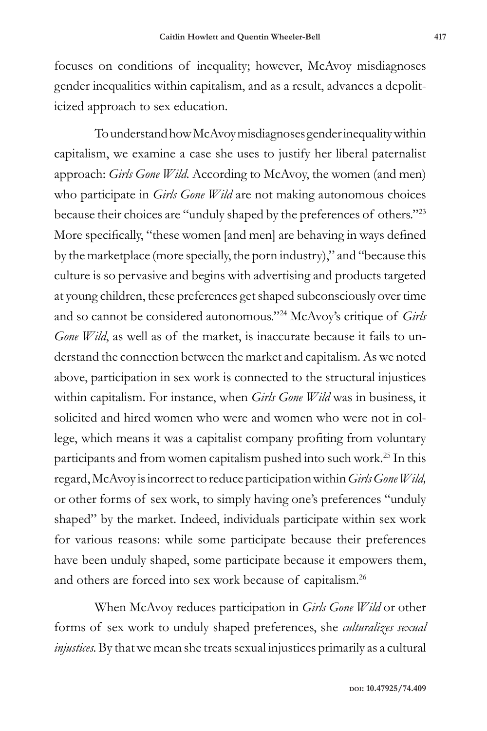focuses on conditions of inequality; however, McAvoy misdiagnoses gender inequalities within capitalism, and as a result, advances a depoliticized approach to sex education.

To understand how McAvoy misdiagnoses gender inequality within capitalism, we examine a case she uses to justify her liberal paternalist approach: *Girls Gone Wild*. According to McAvoy, the women (and men) who participate in *Girls Gone Wild* are not making autonomous choices because their choices are "unduly shaped by the preferences of others."23 More specifically, "these women [and men] are behaving in ways defined by the marketplace (more specially, the porn industry)," and "because this culture is so pervasive and begins with advertising and products targeted at young children, these preferences get shaped subconsciously over time and so cannot be considered autonomous."24 McAvoy's critique of *Girls Gone Wild*, as well as of the market, is inaccurate because it fails to understand the connection between the market and capitalism. As we noted above, participation in sex work is connected to the structural injustices within capitalism. For instance, when *Girls Gone Wild* was in business, it solicited and hired women who were and women who were not in college, which means it was a capitalist company profiting from voluntary participants and from women capitalism pushed into such work.25 In this regard, McAvoy is incorrect to reduce participation within *Girls Gone Wild,* or other forms of sex work, to simply having one's preferences "unduly shaped" by the market. Indeed, individuals participate within sex work for various reasons: while some participate because their preferences have been unduly shaped, some participate because it empowers them, and others are forced into sex work because of capitalism.26

When McAvoy reduces participation in *Girls Gone Wild* or other forms of sex work to unduly shaped preferences, she *culturalizes sexual injustices.* By that we mean she treats sexual injustices primarily as a cultural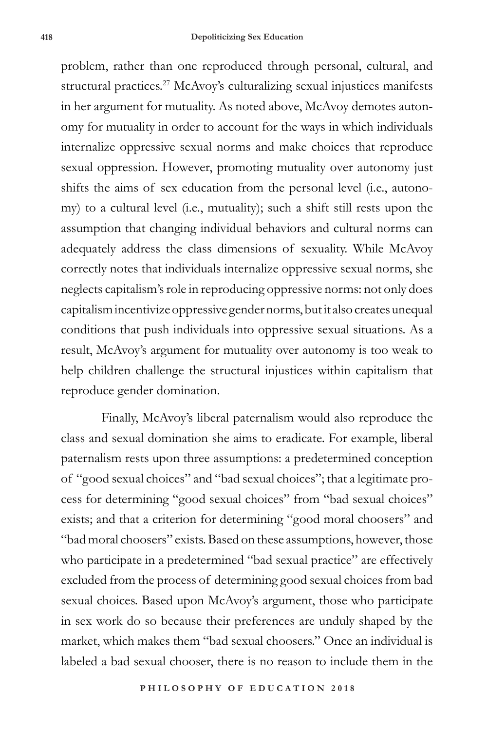problem, rather than one reproduced through personal, cultural, and structural practices.<sup>27</sup> McAvoy's culturalizing sexual injustices manifests in her argument for mutuality. As noted above, McAvoy demotes autonomy for mutuality in order to account for the ways in which individuals internalize oppressive sexual norms and make choices that reproduce sexual oppression. However, promoting mutuality over autonomy just shifts the aims of sex education from the personal level (i.e., autonomy) to a cultural level (i.e., mutuality); such a shift still rests upon the assumption that changing individual behaviors and cultural norms can adequately address the class dimensions of sexuality. While McAvoy correctly notes that individuals internalize oppressive sexual norms, she neglects capitalism's role in reproducing oppressive norms: not only does capitalism incentivize oppressive gender norms, but it also creates unequal conditions that push individuals into oppressive sexual situations. As a result, McAvoy's argument for mutuality over autonomy is too weak to help children challenge the structural injustices within capitalism that reproduce gender domination.

Finally, McAvoy's liberal paternalism would also reproduce the class and sexual domination she aims to eradicate. For example, liberal paternalism rests upon three assumptions: a predetermined conception of "good sexual choices" and "bad sexual choices"; that a legitimate process for determining "good sexual choices" from "bad sexual choices" exists; and that a criterion for determining "good moral choosers" and "bad moral choosers" exists. Based on these assumptions, however, those who participate in a predetermined "bad sexual practice" are effectively excluded from the process of determining good sexual choices from bad sexual choices. Based upon McAvoy's argument, those who participate in sex work do so because their preferences are unduly shaped by the market, which makes them "bad sexual choosers." Once an individual is labeled a bad sexual chooser, there is no reason to include them in the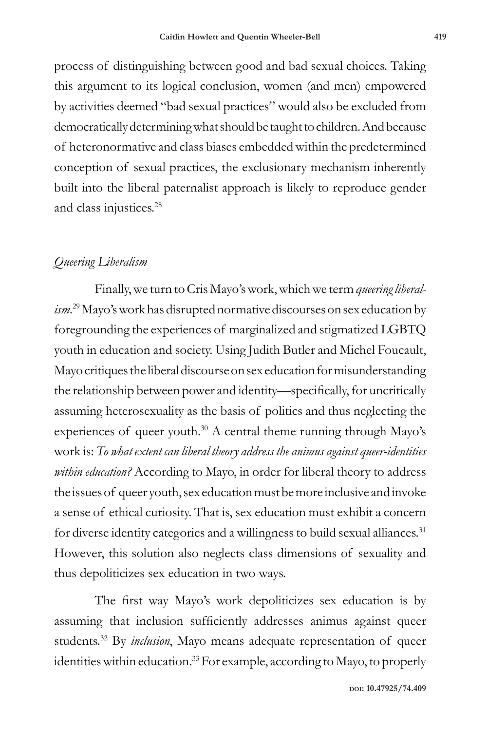process of distinguishing between good and bad sexual choices. Taking this argument to its logical conclusion, women (and men) empowered by activities deemed "bad sexual practices" would also be excluded from democratically determining what should be taught to children. And because of heteronormative and class biases embedded within the predetermined conception of sexual practices, the exclusionary mechanism inherently built into the liberal paternalist approach is likely to reproduce gender and class injustices.28

# *Queering Liberalism*

Finally, we turn to Cris Mayo's work, which we term *queering liberalism*. 29 Mayo's work has disrupted normative discourses on sex education by foregrounding the experiences of marginalized and stigmatized LGBTQ youth in education and society. Using Judith Butler and Michel Foucault, Mayo critiques the liberal discourse on sex education for misunderstanding the relationship between power and identity—specifically, for uncritically assuming heterosexuality as the basis of politics and thus neglecting the experiences of queer youth. $30$  A central theme running through Mayo's work is: *To what extent can liberal theory address the animus against queer-identities within education?* According to Mayo, in order for liberal theory to address the issues of queer youth, sex education must be more inclusive and invoke a sense of ethical curiosity. That is, sex education must exhibit a concern for diverse identity categories and a willingness to build sexual alliances.<sup>31</sup> However, this solution also neglects class dimensions of sexuality and thus depoliticizes sex education in two ways.

The first way Mayo's work depoliticizes sex education is by assuming that inclusion sufficiently addresses animus against queer students.32 By *inclusion*, Mayo means adequate representation of queer identities within education.33 For example, according to Mayo, to properly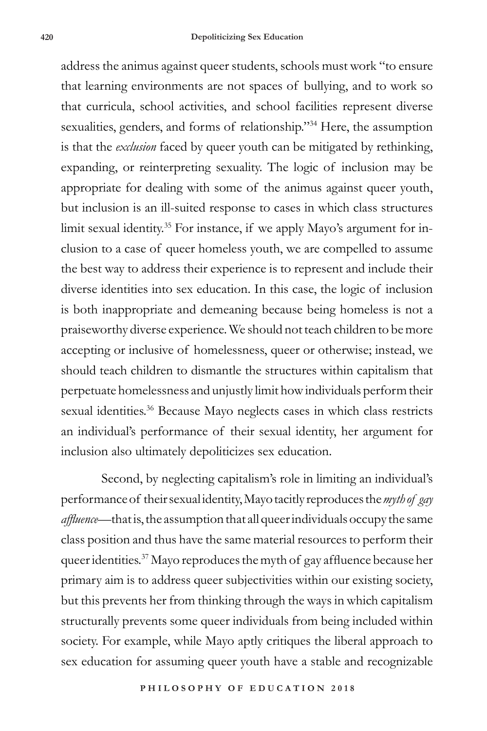address the animus against queer students, schools must work "to ensure that learning environments are not spaces of bullying, and to work so that curricula, school activities, and school facilities represent diverse sexualities, genders, and forms of relationship."34 Here, the assumption is that the *exclusion* faced by queer youth can be mitigated by rethinking, expanding, or reinterpreting sexuality. The logic of inclusion may be appropriate for dealing with some of the animus against queer youth, but inclusion is an ill-suited response to cases in which class structures limit sexual identity.<sup>35</sup> For instance, if we apply Mayo's argument for inclusion to a case of queer homeless youth, we are compelled to assume the best way to address their experience is to represent and include their diverse identities into sex education. In this case, the logic of inclusion is both inappropriate and demeaning because being homeless is not a praiseworthy diverse experience. We should not teach children to be more accepting or inclusive of homelessness, queer or otherwise; instead, we should teach children to dismantle the structures within capitalism that perpetuate homelessness and unjustly limit how individuals perform their sexual identities.<sup>36</sup> Because Mayo neglects cases in which class restricts an individual's performance of their sexual identity, her argument for inclusion also ultimately depoliticizes sex education.

Second, by neglecting capitalism's role in limiting an individual's performance of their sexual identity, Mayo tacitly reproduces the *myth of gay affluence*—that is, the assumption that all queer individuals occupy the same class position and thus have the same material resources to perform their queer identities.37 Mayo reproduces the myth of gay affluence because her primary aim is to address queer subjectivities within our existing society, but this prevents her from thinking through the ways in which capitalism structurally prevents some queer individuals from being included within society. For example, while Mayo aptly critiques the liberal approach to sex education for assuming queer youth have a stable and recognizable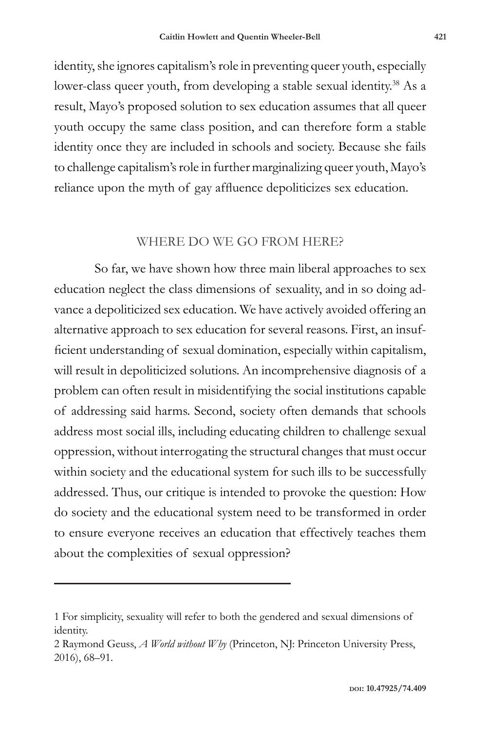identity, she ignores capitalism's role in preventing queer youth, especially lower-class queer youth, from developing a stable sexual identity.<sup>38</sup> As a result, Mayo's proposed solution to sex education assumes that all queer youth occupy the same class position, and can therefore form a stable identity once they are included in schools and society. Because she fails to challenge capitalism's role in further marginalizing queer youth, Mayo's reliance upon the myth of gay affluence depoliticizes sex education.

#### WHERE DO WE GO FROM HERE?

So far, we have shown how three main liberal approaches to sex education neglect the class dimensions of sexuality, and in so doing advance a depoliticized sex education. We have actively avoided offering an alternative approach to sex education for several reasons. First, an insufficient understanding of sexual domination, especially within capitalism, will result in depoliticized solutions. An incomprehensive diagnosis of a problem can often result in misidentifying the social institutions capable of addressing said harms. Second, society often demands that schools address most social ills, including educating children to challenge sexual oppression, without interrogating the structural changes that must occur within society and the educational system for such ills to be successfully addressed. Thus, our critique is intended to provoke the question: How do society and the educational system need to be transformed in order to ensure everyone receives an education that effectively teaches them about the complexities of sexual oppression?

<sup>1</sup> For simplicity, sexuality will refer to both the gendered and sexual dimensions of identity.

<sup>2</sup> Raymond Geuss, *A World without Why* (Princeton, NJ: Princeton University Press, 2016), 68–91.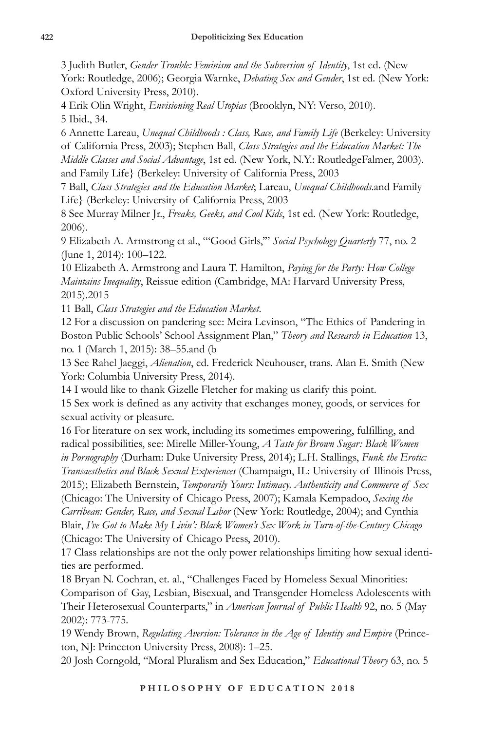3 Judith Butler, *Gender Trouble: Feminism and the Subversion of Identity*, 1st ed. (New York: Routledge, 2006); Georgia Warnke, *Debating Sex and Gender*, 1st ed. (New York: Oxford University Press, 2010).

4 Erik Olin Wright, *Envisioning Real Utopias* (Brooklyn, NY: Verso, 2010). 5 Ibid., 34.

6 Annette Lareau, *Unequal Childhoods : Class, Race, and Family Life* (Berkeley: University of California Press, 2003); Stephen Ball, *Class Strategies and the Education Market: The Middle Classes and Social Advantage*, 1st ed. (New York, N.Y.: RoutledgeFalmer, 2003). and Family Life} (Berkeley: University of California Press, 2003

7 Ball, *Class Strategies and the Education Market*; Lareau, *Unequal Childhoods*.and Family Life} (Berkeley: University of California Press, 2003

8 See Murray Milner Jr., *Freaks, Geeks, and Cool Kids*, 1st ed. (New York: Routledge, 2006).

9 Elizabeth A. Armstrong et al., "'Good Girls,'" *Social Psychology Quarterly* 77, no. 2 (June 1, 2014): 100–122.

10 Elizabeth A. Armstrong and Laura T. Hamilton, *Paying for the Party: How College Maintains Inequality*, Reissue edition (Cambridge, MA: Harvard University Press, 2015).2015

11 Ball, *Class Strategies and the Education Market*.

12 For a discussion on pandering see: Meira Levinson, "The Ethics of Pandering in Boston Public Schools' School Assignment Plan," *Theory and Research in Education* 13, no. 1 (March 1, 2015): 38–55.and (b

13 See Rahel Jaeggi, *Alienation*, ed. Frederick Neuhouser, trans. Alan E. Smith (New York: Columbia University Press, 2014).

14 I would like to thank Gizelle Fletcher for making us clarify this point.

15 Sex work is defined as any activity that exchanges money, goods, or services for sexual activity or pleasure.

16 For literature on sex work, including its sometimes empowering, fulfilling, and radical possibilities, see: Mirelle Miller-Young, *A Taste for Brown Sugar: Black Women in Pornography* (Durham: Duke University Press, 2014); L.H. Stallings, *Funk the Erotic: Transaesthetics and Black Sexual Experiences* (Champaign, IL: University of Illinois Press, 2015); Elizabeth Bernstein, *Temporarily Yours: Intimacy, Authenticity and Commerce of Sex*  (Chicago: The University of Chicago Press, 2007); Kamala Kempadoo, *Sexing the Carribean: Gender, Race, and Sexual Labor* (New York: Routledge, 2004); and Cynthia Blair, *I've Got to Make My Livin': Black Women's Sex Work in Turn-of-the-Century Chicago*  (Chicago: The University of Chicago Press, 2010).

17 Class relationships are not the only power relationships limiting how sexual identities are performed.

18 Bryan N. Cochran, et. al., "Challenges Faced by Homeless Sexual Minorities: Comparison of Gay, Lesbian, Bisexual, and Transgender Homeless Adolescents with Their Heterosexual Counterparts," in *American Journal of Public Health* 92, no. 5 (May 2002): 773-775.

19 Wendy Brown, *Regulating Aversion: Tolerance in the Age of Identity and Empire* (Princeton, NJ: Princeton University Press, 2008): 1–25.

20 Josh Corngold, "Moral Pluralism and Sex Education," *Educational Theory* 63, no. 5